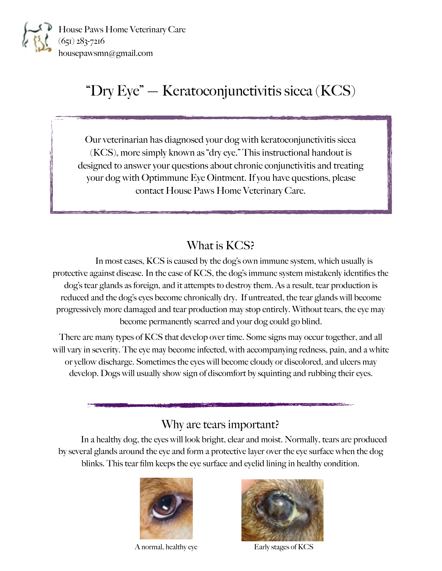

House Paws Home Veterinary Care (651) 283-7216 housepawsmn@gmail.com

# "Dry Eye" — Keratoconjunctivitis sicca (KCS)

Our veterinarian has diagnosed your dog with keratoconjunctivitis sicca (KCS), more simply known as "dry eye." This instructional handout is designed to answer your questions about chronic conjunctivitis and treating your dog with Optimmune Eye Ointment. If you have questions, please contact House Paws Home Veterinary Care.

#### What is KCS?

 In most cases, KCS is caused by the dog's own immune system, which usually is protective against disease. In the case of KCS, the dog's immune system mistakenly identifies the dog's tear glands as foreign, and it attempts to destroy them. As a result, tear production is reduced and the dog's eyes become chronically dry. If untreated, the tear glands will become progressively more damaged and tear production may stop entirely. Without tears, the eye may become permanently scarred and your dog could go blind.

There are many types of KCS that develop over time. Some signs may occur together, and all will vary in severity. The eye may become infected, with accompanying redness, pain, and a white or yellow discharge. Sometimes the eyes will become cloudy or discolored, and ulcers may develop. Dogs will usually show sign of discomfort by squinting and rubbing their eyes.

#### Why are tears important?

 In a healthy dog, the eyes will look bright, clear and moist. Normally, tears are produced by several glands around the eye and form a protective layer over the eye surface when the dog blinks. This tear film keeps the eye surface and eyelid lining in healthy condition.



A normal, healthy eye Early stages of KCS

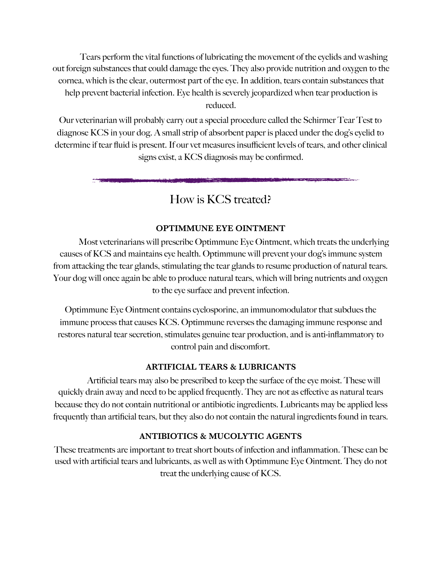Tears perform the vital functions of lubricating the movement of the eyelids and washing out foreign substances that could damage the eyes. They also provide nutrition and oxygen to the cornea, which is the clear, outermost part of the eye. In addition, tears contain substances that help prevent bacterial infection. Eye health is severely jeopardized when tear production is reduced.

Our veterinarian will probably carry out a special procedure called the Schirmer Tear Test to diagnose KCS in your dog. A small strip of absorbent paper is placed under the dog's eyelid to determine if tear fluid is present. If our vet measures insufficient levels of tears, and other clinical signs exist, a KCS diagnosis may be confirmed.

### How is KCS treated?

#### **OPTIMMUNE EYE OINTMENT**

 Most veterinarians will prescribe Optimmune Eye Ointment, which treats the underlying causes of KCS and maintains eye health. Optimmune will prevent your dog's immune system from attacking the tear glands, stimulating the tear glands to resume production of natural tears. Your dog will once again be able to produce natural tears, which will bring nutrients and oxygen to the eye surface and prevent infection.

Optimmune Eye Ointment contains cyclosporine, an immunomodulator that subdues the immune process that causes KCS. Optimmune reverses the damaging immune response and restores natural tear secretion, stimulates genuine tear production, and is anti-inflammatory to control pain and discomfort.

#### **ARTIFICIAL TEARS & LUBRICANTS**

 Artificial tears may also be prescribed to keep the surface of the eye moist. These will quickly drain away and need to be applied frequently. They are not as effective as natural tears because they do not contain nutritional or antibiotic ingredients. Lubricants may be applied less frequently than artificial tears, but they also do not contain the natural ingredients found in tears.

#### **ANTIBIOTICS & MUCOLYTIC AGENTS**

These treatments are important to treat short bouts of infection and inflammation. These can be used with artificial tears and lubricants, as well as with Optimmune Eye Ointment. They do not treat the underlying cause of KCS.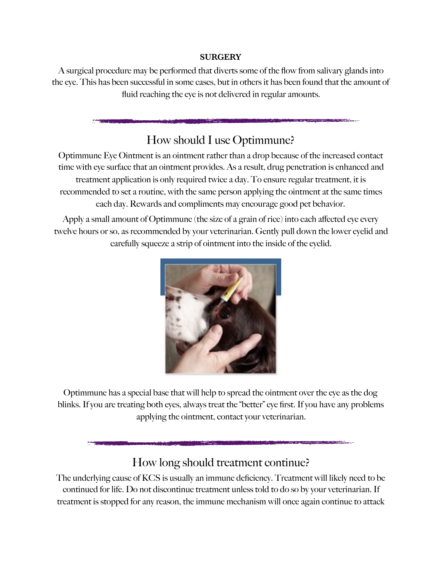#### **SURGERY**

A surgical procedure may be performed that diverts some of the flow from salivary glands into the eye. This has been successful in some cases, but in others it has been found that the amount of fluid reaching the eye is not delivered in regular amounts.

### How should I use Optimmune?

Optimmune Eye Ointment is an ointment rather than a drop because of the increased contact time with eye surface that an ointment provides. As a result, drug penetration is enhanced and treatment application is only required twice a day. To ensure regular treatment, it is recommended to set a routine, with the same person applying the ointment at the same times each day. Rewards and compliments may encourage good pet behavior.

Apply a small amount of Optimmune (the size of a grain of rice) into each affected eye every twelve hours or so, as recommended by your veterinarian. Gently pull down the lower eyelid and carefully squeeze a strip of ointment into the inside of the eyelid.



Optimmune has a special base that will help to spread the ointment over the eye as the dog blinks. If you are treating both eyes, always treat the "better" eye first. If you have any problems applying the ointment, contact your veterinarian.

## How long should treatment continue?

The underlying cause of KCS is usually an immune deficiency. Treatment will likely need to be continued for life. Do not discontinue treatment unless told to do so by your veterinarian. If treatment is stopped for any reason, the immune mechanism will once again continue to attack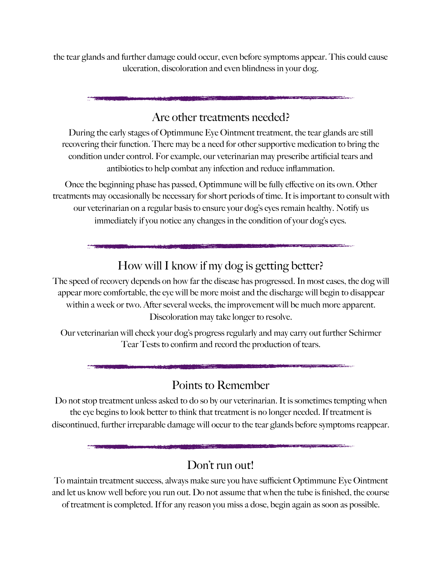the tear glands and further damage could occur, even before symptoms appear. This could cause ulceration, discoloration and even blindness in your dog.

### Are other treatments needed?

During the early stages of Optimmune Eye Ointment treatment, the tear glands are still recovering their function. There may be a need for other supportive medication to bring the condition under control. For example, our veterinarian may prescribe artificial tears and antibiotics to help combat any infection and reduce inflammation.

Once the beginning phase has passed, Optimmune will be fully effective on its own. Other treatments may occasionally be necessary for short periods of time. It is important to consult with our veterinarian on a regular basis to ensure your dog's eyes remain healthy. Notify us immediately if you notice any changes in the condition of your dog's eyes.

## How will I know if my dog is getting better?

The speed of recovery depends on how far the disease has progressed. In most cases, the dog will appear more comfortable, the eye will be more moist and the discharge will begin to disappear within a week or two. After several weeks, the improvement will be much more apparent. Discoloration may take longer to resolve.

Our veterinarian will check your dog's progress regularly and may carry out further Schirmer Tear Tests to confirm and record the production of tears.

### Points to Remember

Do not stop treatment unless asked to do so by our veterinarian. It is sometimes tempting when the eye begins to look better to think that treatment is no longer needed. If treatment is discontinued, further irreparable damage will occur to the tear glands before symptoms reappear.

#### Don't run out!

To maintain treatment success, always make sure you have sufficient Optimmune Eye Ointment and let us know well before you run out. Do not assume that when the tube is finished, the course of treatment is completed. If for any reason you miss a dose, begin again as soon as possible.